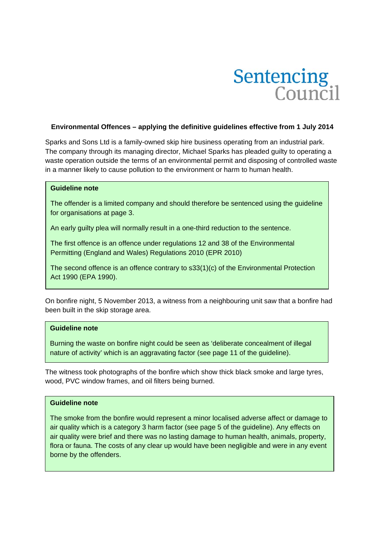

### **Environmental Offences – applying the definitive guidelines effective from 1 July 2014**

Sparks and Sons Ltd is a family-owned skip hire business operating from an industrial park. The company through its managing director, Michael Sparks has pleaded guilty to operating a waste operation outside the terms of an environmental permit and disposing of controlled waste in a manner likely to cause pollution to the environment or harm to human health.

### **Guideline note**

The offender is a limited company and should therefore be sentenced using the guideline for organisations at page 3.

An early guilty plea will normally result in a one-third reduction to the sentence.

The first offence is an offence under regulations 12 and 38 of the Environmental Permitting (England and Wales) Regulations 2010 (EPR 2010)

The second offence is an offence contrary to s33(1)(c) of the Environmental Protection Act 1990 (EPA 1990).

On bonfire night, 5 November 2013, a witness from a neighbouring unit saw that a bonfire had been built in the skip storage area.

#### **Guideline note**

Burning the waste on bonfire night could be seen as 'deliberate concealment of illegal nature of activity' which is an aggravating factor (see page 11 of the guideline).

The witness took photographs of the bonfire which show thick black smoke and large tyres, wood, PVC window frames, and oil filters being burned.

#### **Guideline note**

air quality which is a category 3 harm factor (see page 5 of the guideline). Any effects on air quality were brief and there was no lasting damage to human health, animals, property, The smoke from the bonfire would represent a minor localised adverse affect or damage to flora or fauna. The costs of any clear up would have been negligible and were in any event borne by the offenders.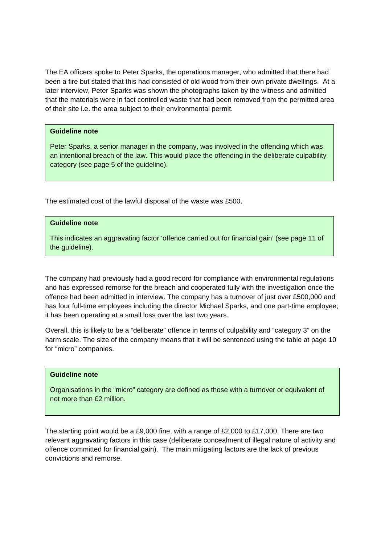The EA officers spoke to Peter Sparks, the operations manager, who admitted that there had been a fire but stated that this had consisted of old wood from their own private dwellings. At a later interview, Peter Sparks was shown the photographs taken by the witness and admitted that the materials were in fact controlled waste that had been removed from the permitted area of their site i.e. the area subject to their environmental permit.

# **Guideline note**

Peter Sparks, a senior manager in the company, was involved in the offending which was an intentional breach of the law. This would place the offending in the deliberate culpability category (see page 5 of the guideline).

The estimated cost of the lawful disposal of the waste was £500.

# **Guideline note**

This indicates an aggravating factor 'offence carried out for financial gain' (see page 11 of the guideline).

The company had previously had a good record for compliance with environmental regulations and has expressed remorse for the breach and cooperated fully with the investigation once the offence had been admitted in interview. The company has a turnover of just over £500,000 and has four full-time employees including the director Michael Sparks, and one part-time employee; it has been operating at a small loss over the last two years.

Overall, this is likely to be a "deliberate" offence in terms of culpability and "category 3" on the harm scale. The size of the company means that it will be sentenced using the table at page 10 for "micro" companies.

### **Guideline note**

Organisations in the "micro" category are defined as those with a turnover or equivalent of not more than £2 million.

The starting point would be a £9,000 fine, with a range of £2,000 to £17,000. There are two relevant aggravating factors in this case (deliberate concealment of illegal nature of activity and offence committed for financial gain). The main mitigating factors are the lack of previous convictions and remorse.